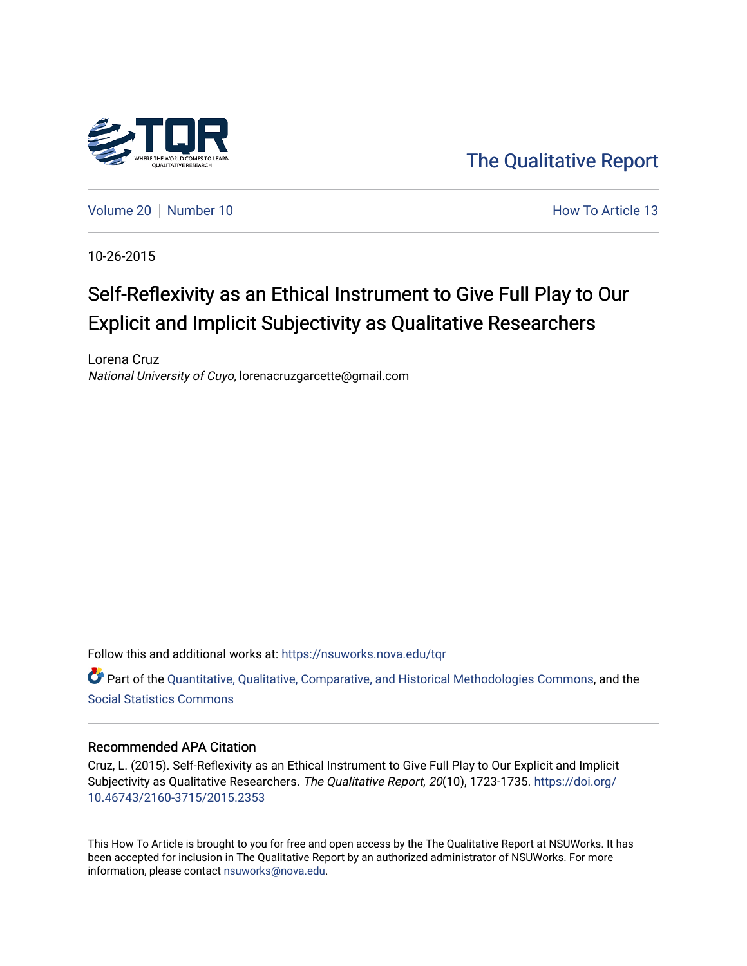

[The Qualitative Report](https://nsuworks.nova.edu/tqr) 

[Volume 20](https://nsuworks.nova.edu/tqr/vol20) [Number 10](https://nsuworks.nova.edu/tqr/vol20/iss10) **How To Article 13** How To Article 13

10-26-2015

# Self-Reflexivity as an Ethical Instrument to Give Full Play to Our Explicit and Implicit Subjectivity as Qualitative Researchers

Lorena Cruz National University of Cuyo, lorenacruzgarcette@gmail.com

Follow this and additional works at: [https://nsuworks.nova.edu/tqr](https://nsuworks.nova.edu/tqr?utm_source=nsuworks.nova.edu%2Ftqr%2Fvol20%2Fiss10%2F13&utm_medium=PDF&utm_campaign=PDFCoverPages) 

Part of the [Quantitative, Qualitative, Comparative, and Historical Methodologies Commons,](http://network.bepress.com/hgg/discipline/423?utm_source=nsuworks.nova.edu%2Ftqr%2Fvol20%2Fiss10%2F13&utm_medium=PDF&utm_campaign=PDFCoverPages) and the [Social Statistics Commons](http://network.bepress.com/hgg/discipline/1275?utm_source=nsuworks.nova.edu%2Ftqr%2Fvol20%2Fiss10%2F13&utm_medium=PDF&utm_campaign=PDFCoverPages) 

#### Recommended APA Citation

Cruz, L. (2015). Self-Reflexivity as an Ethical Instrument to Give Full Play to Our Explicit and Implicit Subjectivity as Qualitative Researchers. The Qualitative Report, 20(10), 1723-1735. [https://doi.org/](https://doi.org/10.46743/2160-3715/2015.2353) [10.46743/2160-3715/2015.2353](https://doi.org/10.46743/2160-3715/2015.2353)

This How To Article is brought to you for free and open access by the The Qualitative Report at NSUWorks. It has been accepted for inclusion in The Qualitative Report by an authorized administrator of NSUWorks. For more information, please contact [nsuworks@nova.edu.](mailto:nsuworks@nova.edu)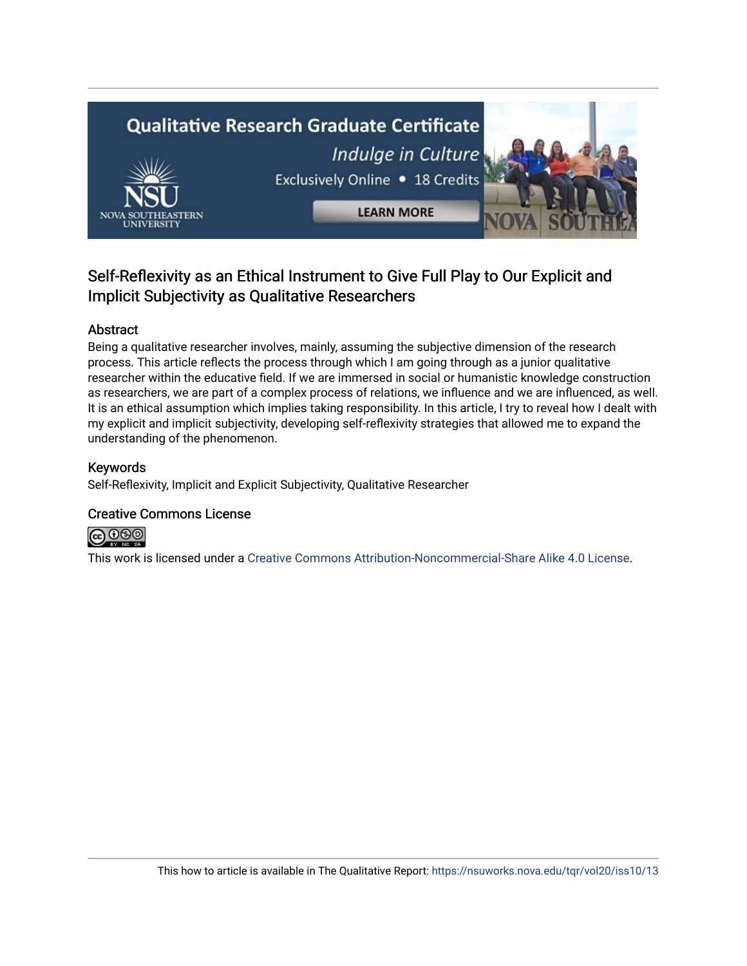# **Qualitative Research Graduate Certificate** Indulge in Culture Exclusively Online . 18 Credits **LEARN MORE**

### Self-Reflexivity as an Ethical Instrument to Give Full Play to Our Explicit and Implicit Subjectivity as Qualitative Researchers

#### Abstract

Being a qualitative researcher involves, mainly, assuming the subjective dimension of the research process. This article reflects the process through which I am going through as a junior qualitative researcher within the educative field. If we are immersed in social or humanistic knowledge construction as researchers, we are part of a complex process of relations, we influence and we are influenced, as well. It is an ethical assumption which implies taking responsibility. In this article, I try to reveal how I dealt with my explicit and implicit subjectivity, developing self-reflexivity strategies that allowed me to expand the understanding of the phenomenon.

#### Keywords

Self-Reflexivity, Implicit and Explicit Subjectivity, Qualitative Researcher

#### Creative Commons License



This work is licensed under a [Creative Commons Attribution-Noncommercial-Share Alike 4.0 License](https://creativecommons.org/licenses/by-nc-sa/4.0/).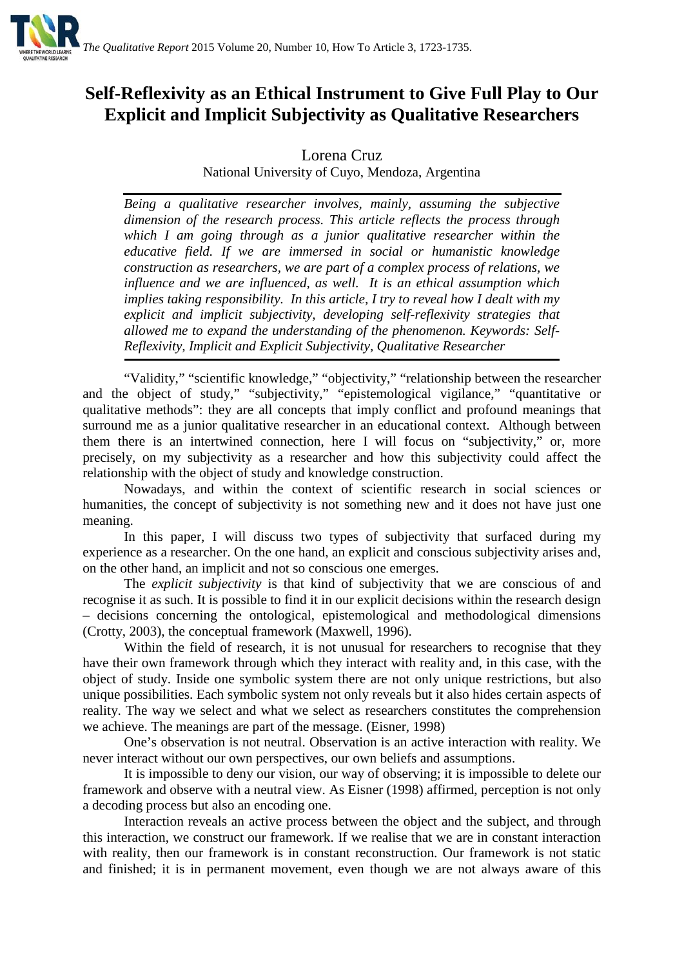

## **Self-Reflexivity as an Ethical Instrument to Give Full Play to Our Explicit and Implicit Subjectivity as Qualitative Researchers**

Lorena Cruz

National University of Cuyo, Mendoza, Argentina

*Being a qualitative researcher involves, mainly, assuming the subjective dimension of the research process. This article reflects the process through which I am going through as a junior qualitative researcher within the educative field. If we are immersed in social or humanistic knowledge construction as researchers, we are part of a complex process of relations, we influence and we are influenced, as well. It is an ethical assumption which implies taking responsibility. In this article, I try to reveal how I dealt with my explicit and implicit subjectivity, developing self-reflexivity strategies that allowed me to expand the understanding of the phenomenon. Keywords: Self-Reflexivity, Implicit and Explicit Subjectivity, Qualitative Researcher*

"Validity," "scientific knowledge," "objectivity," "relationship between the researcher and the object of study," "subjectivity," "epistemological vigilance," "quantitative or qualitative methods": they are all concepts that imply conflict and profound meanings that surround me as a junior qualitative researcher in an educational context. Although between them there is an intertwined connection, here I will focus on "subjectivity," or, more precisely, on my subjectivity as a researcher and how this subjectivity could affect the relationship with the object of study and knowledge construction.

Nowadays, and within the context of scientific research in social sciences or humanities, the concept of subjectivity is not something new and it does not have just one meaning.

In this paper, I will discuss two types of subjectivity that surfaced during my experience as a researcher. On the one hand, an explicit and conscious subjectivity arises and, on the other hand, an implicit and not so conscious one emerges.

The *explicit subjectivity* is that kind of subjectivity that we are conscious of and recognise it as such. It is possible to find it in our explicit decisions within the research design – decisions concerning the ontological, epistemological and methodological dimensions (Crotty, 2003), the conceptual framework (Maxwell, 1996).

Within the field of research, it is not unusual for researchers to recognise that they have their own framework through which they interact with reality and, in this case, with the object of study. Inside one symbolic system there are not only unique restrictions, but also unique possibilities. Each symbolic system not only reveals but it also hides certain aspects of reality. The way we select and what we select as researchers constitutes the comprehension we achieve. The meanings are part of the message. (Eisner, 1998)

One's observation is not neutral. Observation is an active interaction with reality. We never interact without our own perspectives, our own beliefs and assumptions.

It is impossible to deny our vision, our way of observing; it is impossible to delete our framework and observe with a neutral view. As Eisner (1998) affirmed, perception is not only a decoding process but also an encoding one.

Interaction reveals an active process between the object and the subject, and through this interaction, we construct our framework. If we realise that we are in constant interaction with reality, then our framework is in constant reconstruction. Our framework is not static and finished; it is in permanent movement, even though we are not always aware of this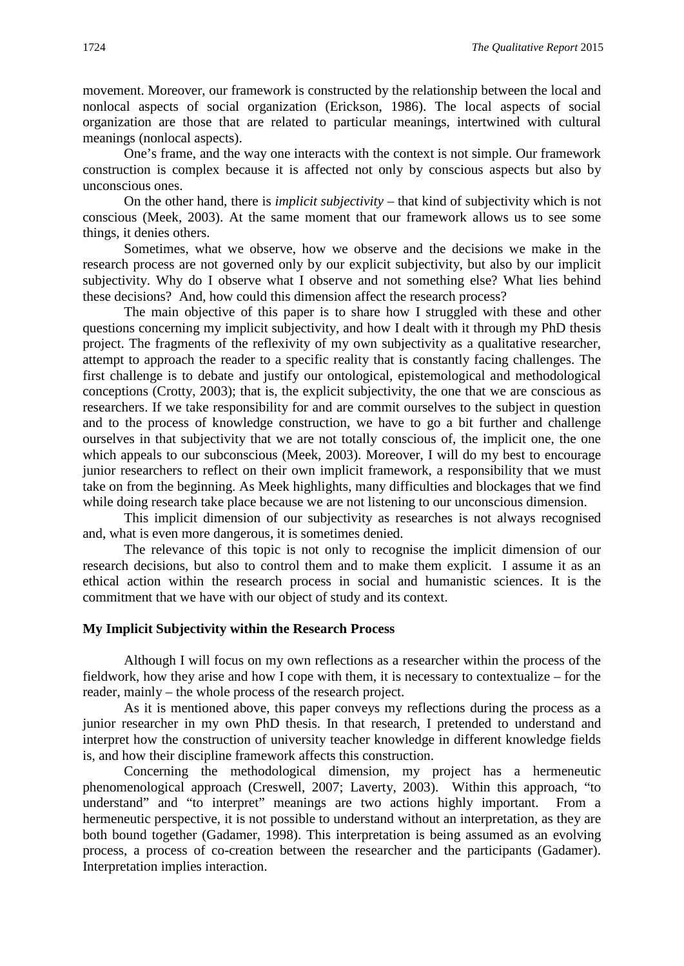movement. Moreover, our framework is constructed by the relationship between the local and nonlocal aspects of social organization (Erickson, 1986). The local aspects of social organization are those that are related to particular meanings, intertwined with cultural meanings (nonlocal aspects).

One's frame, and the way one interacts with the context is not simple. Our framework construction is complex because it is affected not only by conscious aspects but also by unconscious ones.

On the other hand, there is *implicit subjectivity* – that kind of subjectivity which is not conscious (Meek, 2003). At the same moment that our framework allows us to see some things, it denies others.

Sometimes, what we observe, how we observe and the decisions we make in the research process are not governed only by our explicit subjectivity, but also by our implicit subjectivity. Why do I observe what I observe and not something else? What lies behind these decisions? And, how could this dimension affect the research process?

The main objective of this paper is to share how I struggled with these and other questions concerning my implicit subjectivity, and how I dealt with it through my PhD thesis project. The fragments of the reflexivity of my own subjectivity as a qualitative researcher, attempt to approach the reader to a specific reality that is constantly facing challenges. The first challenge is to debate and justify our ontological, epistemological and methodological conceptions (Crotty, 2003); that is, the explicit subjectivity, the one that we are conscious as researchers. If we take responsibility for and are commit ourselves to the subject in question and to the process of knowledge construction, we have to go a bit further and challenge ourselves in that subjectivity that we are not totally conscious of, the implicit one, the one which appeals to our subconscious (Meek, 2003). Moreover, I will do my best to encourage junior researchers to reflect on their own implicit framework, a responsibility that we must take on from the beginning. As Meek highlights, many difficulties and blockages that we find while doing research take place because we are not listening to our unconscious dimension.

This implicit dimension of our subjectivity as researches is not always recognised and, what is even more dangerous, it is sometimes denied.

The relevance of this topic is not only to recognise the implicit dimension of our research decisions, but also to control them and to make them explicit. I assume it as an ethical action within the research process in social and humanistic sciences. It is the commitment that we have with our object of study and its context.

#### **My Implicit Subjectivity within the Research Process**

Although I will focus on my own reflections as a researcher within the process of the fieldwork, how they arise and how I cope with them, it is necessary to contextualize – for the reader, mainly – the whole process of the research project.

As it is mentioned above, this paper conveys my reflections during the process as a junior researcher in my own PhD thesis. In that research, I pretended to understand and interpret how the construction of university teacher knowledge in different knowledge fields is, and how their discipline framework affects this construction.

Concerning the methodological dimension, my project has a hermeneutic phenomenological approach (Creswell, 2007; Laverty, 2003). Within this approach, "to understand" and "to interpret" meanings are two actions highly important. From a hermeneutic perspective, it is not possible to understand without an interpretation, as they are both bound together (Gadamer, 1998). This interpretation is being assumed as an evolving process, a process of co-creation between the researcher and the participants (Gadamer). Interpretation implies interaction.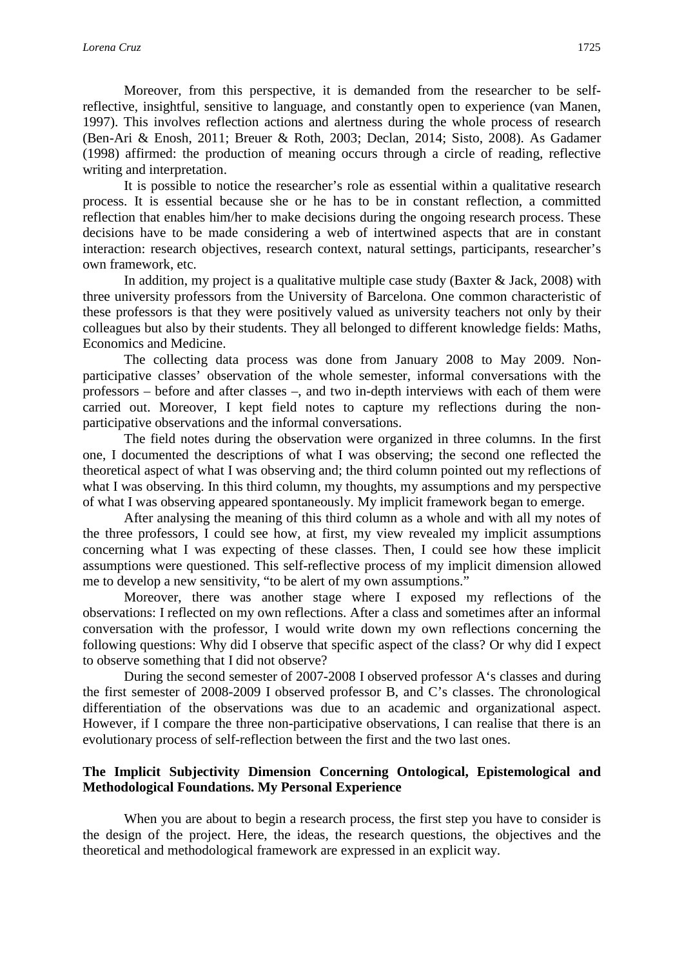Moreover, from this perspective, it is demanded from the researcher to be selfreflective, insightful, sensitive to language, and constantly open to experience (van Manen, 1997). This involves reflection actions and alertness during the whole process of research (Ben-Ari & Enosh, 2011; Breuer & Roth, 2003; Declan, 2014; Sisto, 2008). As Gadamer (1998) affirmed: the production of meaning occurs through a circle of reading, reflective writing and interpretation.

It is possible to notice the researcher's role as essential within a qualitative research process. It is essential because she or he has to be in constant reflection, a committed reflection that enables him/her to make decisions during the ongoing research process. These decisions have to be made considering a web of intertwined aspects that are in constant interaction: research objectives, research context, natural settings, participants, researcher's own framework, etc.

In addition, my project is a qualitative multiple case study (Baxter & Jack, 2008) with three university professors from the University of Barcelona. One common characteristic of these professors is that they were positively valued as university teachers not only by their colleagues but also by their students. They all belonged to different knowledge fields: Maths, Economics and Medicine.

The collecting data process was done from January 2008 to May 2009. Nonparticipative classes' observation of the whole semester, informal conversations with the professors – before and after classes –, and two in-depth interviews with each of them were carried out. Moreover, I kept field notes to capture my reflections during the nonparticipative observations and the informal conversations.

The field notes during the observation were organized in three columns. In the first one, I documented the descriptions of what I was observing; the second one reflected the theoretical aspect of what I was observing and; the third column pointed out my reflections of what I was observing. In this third column, my thoughts, my assumptions and my perspective of what I was observing appeared spontaneously. My implicit framework began to emerge.

After analysing the meaning of this third column as a whole and with all my notes of the three professors, I could see how, at first, my view revealed my implicit assumptions concerning what I was expecting of these classes. Then, I could see how these implicit assumptions were questioned. This self-reflective process of my implicit dimension allowed me to develop a new sensitivity, "to be alert of my own assumptions."

Moreover, there was another stage where I exposed my reflections of the observations: I reflected on my own reflections. After a class and sometimes after an informal conversation with the professor, I would write down my own reflections concerning the following questions: Why did I observe that specific aspect of the class? Or why did I expect to observe something that I did not observe?

During the second semester of 2007-2008 I observed professor A's classes and during the first semester of 2008-2009 I observed professor B, and C's classes. The chronological differentiation of the observations was due to an academic and organizational aspect. However, if I compare the three non-participative observations, I can realise that there is an evolutionary process of self-reflection between the first and the two last ones.

#### **The Implicit Subjectivity Dimension Concerning Ontological, Epistemological and Methodological Foundations. My Personal Experience**

When you are about to begin a research process, the first step you have to consider is the design of the project. Here, the ideas, the research questions, the objectives and the theoretical and methodological framework are expressed in an explicit way.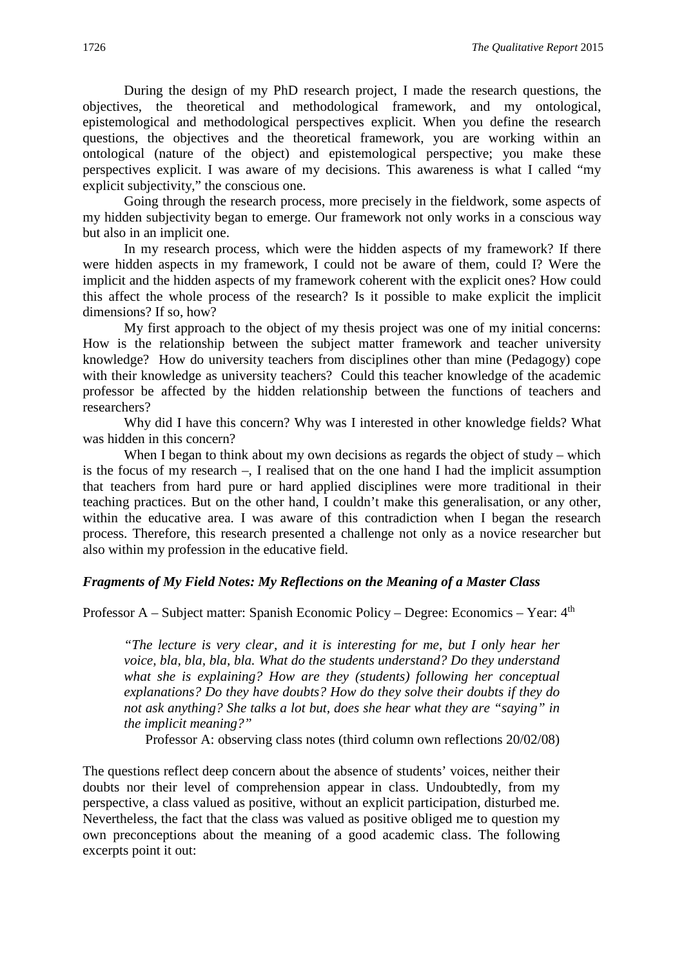During the design of my PhD research project, I made the research questions, the objectives, the theoretical and methodological framework, and my ontological, epistemological and methodological perspectives explicit. When you define the research questions, the objectives and the theoretical framework, you are working within an ontological (nature of the object) and epistemological perspective; you make these perspectives explicit. I was aware of my decisions. This awareness is what I called "my explicit subjectivity," the conscious one.

Going through the research process, more precisely in the fieldwork, some aspects of my hidden subjectivity began to emerge. Our framework not only works in a conscious way but also in an implicit one.

In my research process, which were the hidden aspects of my framework? If there were hidden aspects in my framework, I could not be aware of them, could I? Were the implicit and the hidden aspects of my framework coherent with the explicit ones? How could this affect the whole process of the research? Is it possible to make explicit the implicit dimensions? If so, how?

My first approach to the object of my thesis project was one of my initial concerns: How is the relationship between the subject matter framework and teacher university knowledge? How do university teachers from disciplines other than mine (Pedagogy) cope with their knowledge as university teachers? Could this teacher knowledge of the academic professor be affected by the hidden relationship between the functions of teachers and researchers?

Why did I have this concern? Why was I interested in other knowledge fields? What was hidden in this concern?

When I began to think about my own decisions as regards the object of study – which is the focus of my research –, I realised that on the one hand I had the implicit assumption that teachers from hard pure or hard applied disciplines were more traditional in their teaching practices. But on the other hand, I couldn't make this generalisation, or any other, within the educative area. I was aware of this contradiction when I began the research process. Therefore, this research presented a challenge not only as a novice researcher but also within my profession in the educative field.

#### *Fragments of My Field Notes: My Reflections on the Meaning of a Master Class*

Professor A – Subject matter: Spanish Economic Policy – Degree: Economics – Year: 4th

*"The lecture is very clear, and it is interesting for me, but I only hear her voice, bla, bla, bla, bla. What do the students understand? Do they understand what she is explaining? How are they (students) following her conceptual explanations? Do they have doubts? How do they solve their doubts if they do not ask anything? She talks a lot but, does she hear what they are "saying" in the implicit meaning?"*

Professor A: observing class notes (third column own reflections 20/02/08)

The questions reflect deep concern about the absence of students' voices, neither their doubts nor their level of comprehension appear in class. Undoubtedly, from my perspective, a class valued as positive, without an explicit participation, disturbed me. Nevertheless, the fact that the class was valued as positive obliged me to question my own preconceptions about the meaning of a good academic class. The following excerpts point it out: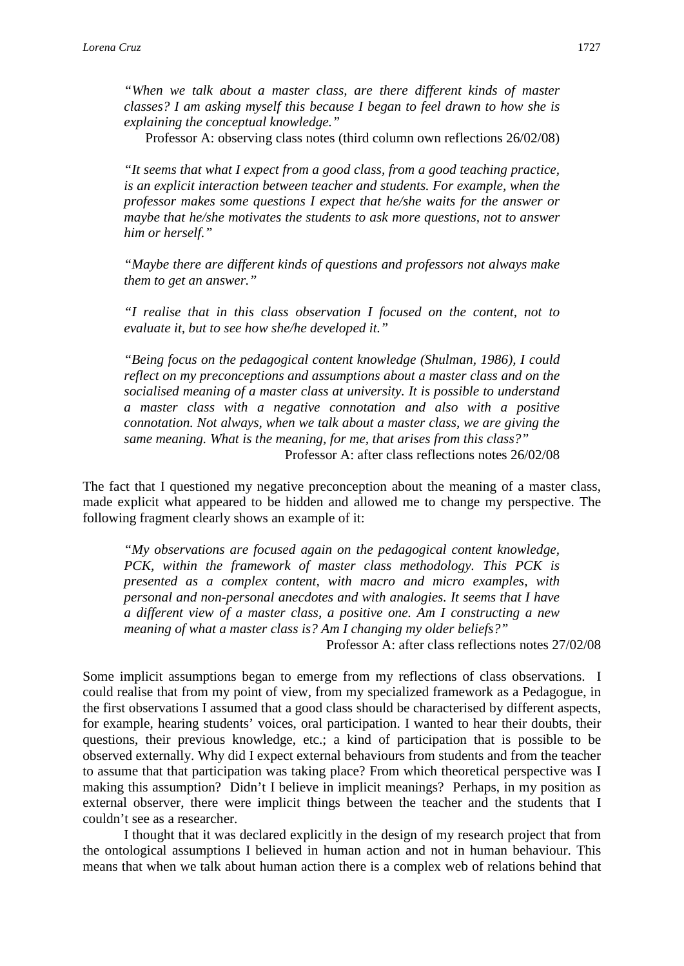*"When we talk about a master class, are there different kinds of master classes? I am asking myself this because I began to feel drawn to how she is explaining the conceptual knowledge."*

Professor A: observing class notes (third column own reflections 26/02/08)

*"It seems that what I expect from a good class, from a good teaching practice, is an explicit interaction between teacher and students. For example, when the professor makes some questions I expect that he/she waits for the answer or maybe that he/she motivates the students to ask more questions, not to answer him or herself."*

*"Maybe there are different kinds of questions and professors not always make them to get an answer."*

*"I realise that in this class observation I focused on the content, not to evaluate it, but to see how she/he developed it."*

*"Being focus on the pedagogical content knowledge (Shulman, 1986), I could reflect on my preconceptions and assumptions about a master class and on the socialised meaning of a master class at university. It is possible to understand a master class with a negative connotation and also with a positive connotation. Not always, when we talk about a master class, we are giving the same meaning. What is the meaning, for me, that arises from this class?"* Professor A: after class reflections notes 26/02/08

The fact that I questioned my negative preconception about the meaning of a master class, made explicit what appeared to be hidden and allowed me to change my perspective. The following fragment clearly shows an example of it:

*"My observations are focused again on the pedagogical content knowledge, PCK, within the framework of master class methodology. This PCK is presented as a complex content, with macro and micro examples, with personal and non-personal anecdotes and with analogies. It seems that I have a different view of a master class, a positive one. Am I constructing a new meaning of what a master class is? Am I changing my older beliefs?"*

Professor A: after class reflections notes 27/02/08

Some implicit assumptions began to emerge from my reflections of class observations. I could realise that from my point of view, from my specialized framework as a Pedagogue, in the first observations I assumed that a good class should be characterised by different aspects, for example, hearing students' voices, oral participation. I wanted to hear their doubts, their questions, their previous knowledge, etc.; a kind of participation that is possible to be observed externally. Why did I expect external behaviours from students and from the teacher to assume that that participation was taking place? From which theoretical perspective was I making this assumption? Didn't I believe in implicit meanings? Perhaps, in my position as external observer, there were implicit things between the teacher and the students that I couldn't see as a researcher.

I thought that it was declared explicitly in the design of my research project that from the ontological assumptions I believed in human action and not in human behaviour. This means that when we talk about human action there is a complex web of relations behind that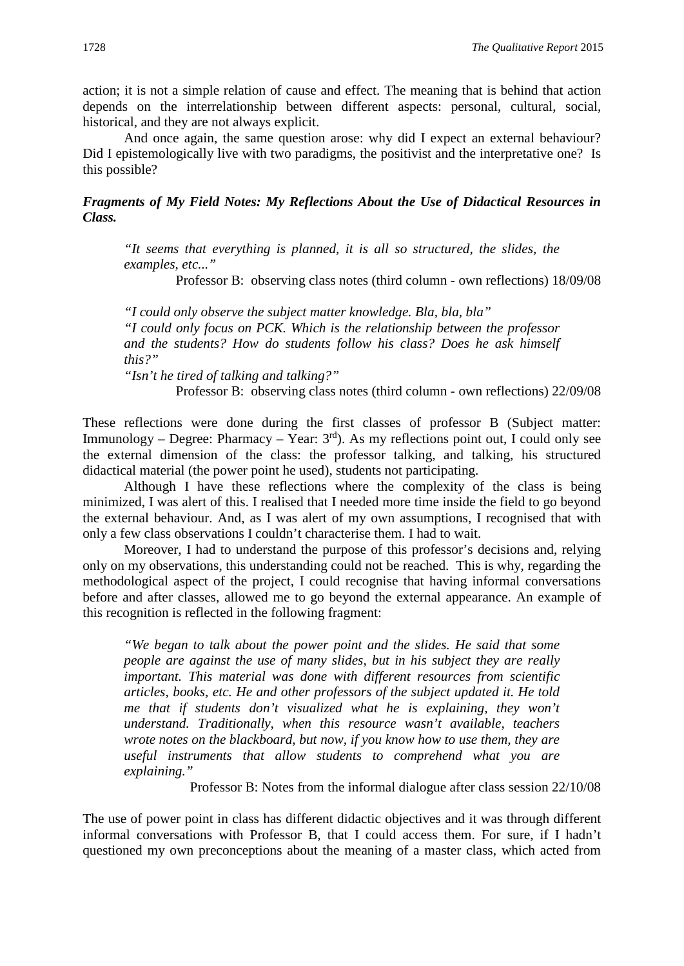action; it is not a simple relation of cause and effect. The meaning that is behind that action depends on the interrelationship between different aspects: personal, cultural, social, historical, and they are not always explicit.

And once again, the same question arose: why did I expect an external behaviour? Did I epistemologically live with two paradigms, the positivist and the interpretative one? Is this possible?

*Fragments of My Field Notes: My Reflections About the Use of Didactical Resources in Class.*

*"It seems that everything is planned, it is all so structured, the slides, the examples, etc..."*

Professor B: observing class notes (third column - own reflections) 18/09/08

*"I could only observe the subject matter knowledge. Bla, bla, bla" "I could only focus on PCK. Which is the relationship between the professor and the students? How do students follow his class? Does he ask himself this?"* 

*"Isn't he tired of talking and talking?"*

Professor B: observing class notes (third column - own reflections) 22/09/08

These reflections were done during the first classes of professor B (Subject matter: Immunology – Degree: Pharmacy – Year:  $3<sup>rd</sup>$ ). As my reflections point out, I could only see the external dimension of the class: the professor talking, and talking, his structured didactical material (the power point he used), students not participating.

Although I have these reflections where the complexity of the class is being minimized, I was alert of this. I realised that I needed more time inside the field to go beyond the external behaviour. And, as I was alert of my own assumptions, I recognised that with only a few class observations I couldn't characterise them. I had to wait.

Moreover, I had to understand the purpose of this professor's decisions and, relying only on my observations, this understanding could not be reached. This is why, regarding the methodological aspect of the project, I could recognise that having informal conversations before and after classes, allowed me to go beyond the external appearance. An example of this recognition is reflected in the following fragment:

*"We began to talk about the power point and the slides. He said that some people are against the use of many slides, but in his subject they are really important. This material was done with different resources from scientific articles, books, etc. He and other professors of the subject updated it. He told me that if students don't visualized what he is explaining, they won't understand. Traditionally, when this resource wasn't available, teachers wrote notes on the blackboard, but now, if you know how to use them, they are useful instruments that allow students to comprehend what you are explaining."*

Professor B: Notes from the informal dialogue after class session 22/10/08

The use of power point in class has different didactic objectives and it was through different informal conversations with Professor B, that I could access them. For sure, if I hadn't questioned my own preconceptions about the meaning of a master class, which acted from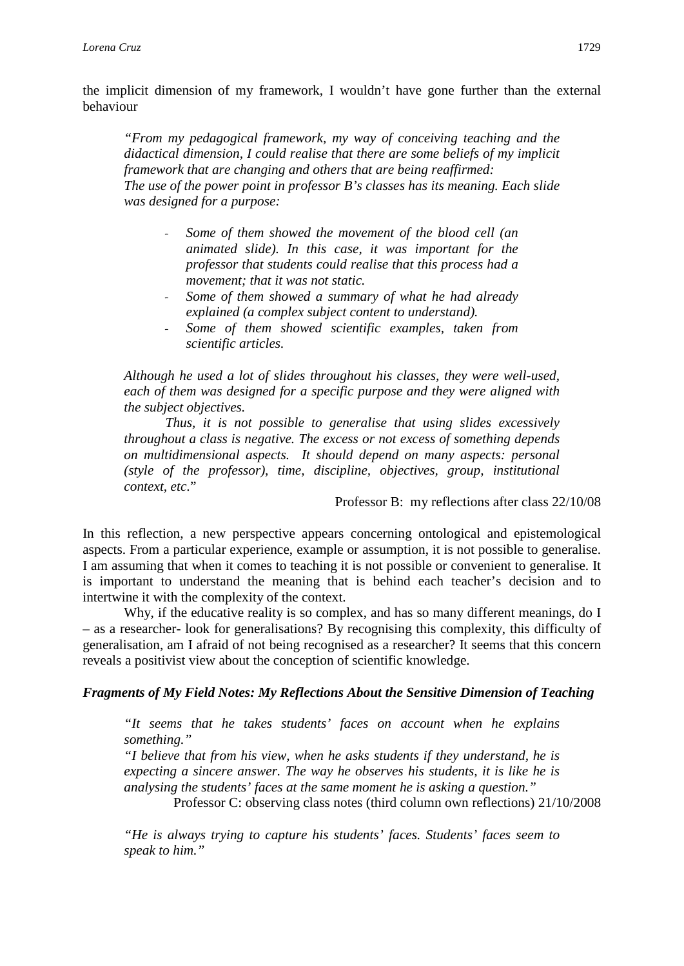the implicit dimension of my framework, I wouldn't have gone further than the external behaviour

*"From my pedagogical framework, my way of conceiving teaching and the didactical dimension, I could realise that there are some beliefs of my implicit framework that are changing and others that are being reaffirmed: The use of the power point in professor B's classes has its meaning. Each slide was designed for a purpose:*

- *Some of them showed the movement of the blood cell (an animated slide). In this case, it was important for the professor that students could realise that this process had a movement; that it was not static.*
- *Some of them showed a summary of what he had already explained (a complex subject content to understand).*
- *Some of them showed scientific examples, taken from scientific articles.*

*Although he used a lot of slides throughout his classes, they were well-used, each of them was designed for a specific purpose and they were aligned with the subject objectives.*

*Thus, it is not possible to generalise that using slides excessively throughout a class is negative. The excess or not excess of something depends on multidimensional aspects. It should depend on many aspects: personal (style of the professor), time, discipline, objectives, group, institutional context, etc*."

Professor B: my reflections after class 22/10/08

In this reflection, a new perspective appears concerning ontological and epistemological aspects. From a particular experience, example or assumption, it is not possible to generalise. I am assuming that when it comes to teaching it is not possible or convenient to generalise. It is important to understand the meaning that is behind each teacher's decision and to intertwine it with the complexity of the context.

Why, if the educative reality is so complex, and has so many different meanings, do I – as a researcher- look for generalisations? By recognising this complexity, this difficulty of generalisation, am I afraid of not being recognised as a researcher? It seems that this concern reveals a positivist view about the conception of scientific knowledge.

#### *Fragments of My Field Notes: My Reflections About the Sensitive Dimension of Teaching*

*"It seems that he takes students' faces on account when he explains something."*

*"I believe that from his view, when he asks students if they understand, he is expecting a sincere answer. The way he observes his students, it is like he is analysing the students' faces at the same moment he is asking a question."*

Professor C: observing class notes (third column own reflections) 21/10/2008

*"He is always trying to capture his students' faces. Students' faces seem to speak to him."*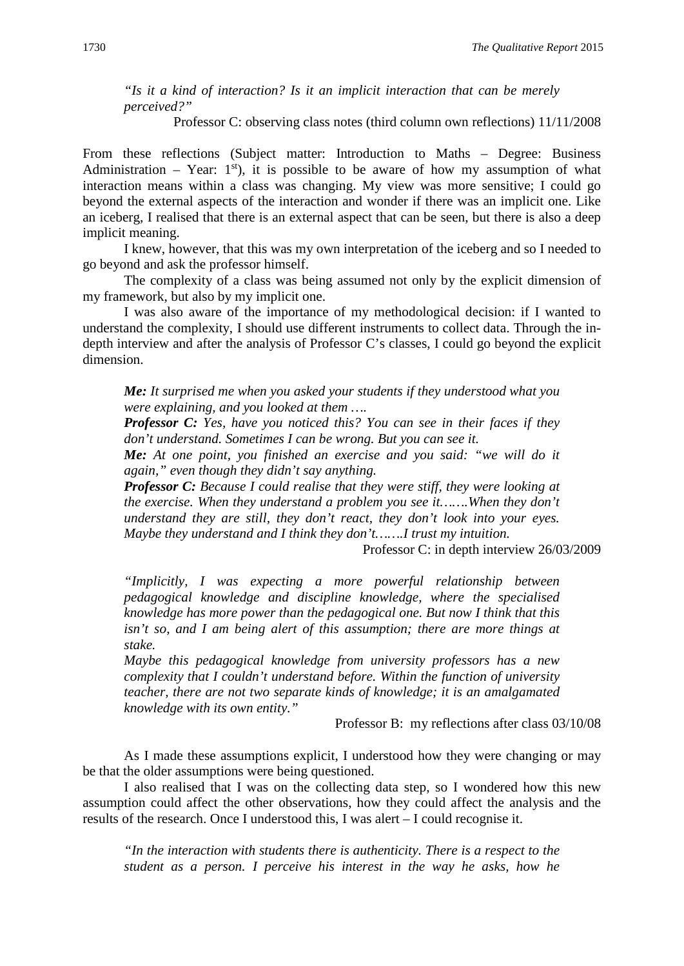*"Is it a kind of interaction? Is it an implicit interaction that can be merely perceived?"*

Professor C: observing class notes (third column own reflections) 11/11/2008

From these reflections (Subject matter: Introduction to Maths – Degree: Business Administration – Year:  $1<sup>st</sup>$ , it is possible to be aware of how my assumption of what interaction means within a class was changing. My view was more sensitive; I could go beyond the external aspects of the interaction and wonder if there was an implicit one. Like an iceberg, I realised that there is an external aspect that can be seen, but there is also a deep implicit meaning.

I knew, however, that this was my own interpretation of the iceberg and so I needed to go beyond and ask the professor himself.

The complexity of a class was being assumed not only by the explicit dimension of my framework, but also by my implicit one.

I was also aware of the importance of my methodological decision: if I wanted to understand the complexity, I should use different instruments to collect data. Through the indepth interview and after the analysis of Professor C's classes, I could go beyond the explicit dimension.

*Me: It surprised me when you asked your students if they understood what you were explaining, and you looked at them ….*

*Professor C: Yes, have you noticed this? You can see in their faces if they don't understand. Sometimes I can be wrong. But you can see it.*

*Me: At one point, you finished an exercise and you said: "we will do it again," even though they didn't say anything.*

*Professor C: Because I could realise that they were stiff, they were looking at the exercise. When they understand a problem you see it…….When they don't understand they are still, they don't react, they don't look into your eyes. Maybe they understand and I think they don't…….I trust my intuition.* 

Professor C: in depth interview 26/03/2009

*"Implicitly, I was expecting a more powerful relationship between pedagogical knowledge and discipline knowledge, where the specialised knowledge has more power than the pedagogical one. But now I think that this isn't so, and I am being alert of this assumption; there are more things at stake.* 

*Maybe this pedagogical knowledge from university professors has a new complexity that I couldn't understand before. Within the function of university teacher, there are not two separate kinds of knowledge; it is an amalgamated knowledge with its own entity."*

Professor B: my reflections after class 03/10/08

As I made these assumptions explicit, I understood how they were changing or may be that the older assumptions were being questioned.

I also realised that I was on the collecting data step, so I wondered how this new assumption could affect the other observations, how they could affect the analysis and the results of the research. Once I understood this, I was alert – I could recognise it.

*"In the interaction with students there is authenticity. There is a respect to the student as a person. I perceive his interest in the way he asks, how he*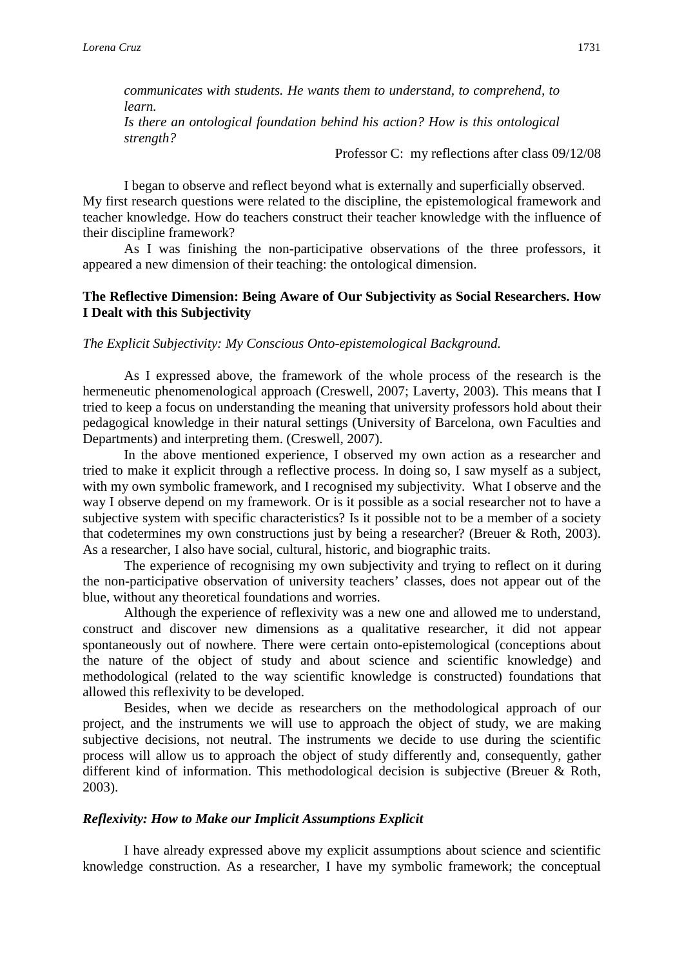*communicates with students. He wants them to understand, to comprehend, to learn. Is there an ontological foundation behind his action? How is this ontological strength?* 

Professor C: my reflections after class 09/12/08

I began to observe and reflect beyond what is externally and superficially observed. My first research questions were related to the discipline, the epistemological framework and teacher knowledge. How do teachers construct their teacher knowledge with the influence of their discipline framework?

As I was finishing the non-participative observations of the three professors, it appeared a new dimension of their teaching: the ontological dimension.

#### **The Reflective Dimension: Being Aware of Our Subjectivity as Social Researchers. How I Dealt with this Subjectivity**

#### *The Explicit Subjectivity: My Conscious Onto-epistemological Background.*

As I expressed above, the framework of the whole process of the research is the hermeneutic phenomenological approach (Creswell, 2007; Laverty, 2003). This means that I tried to keep a focus on understanding the meaning that university professors hold about their pedagogical knowledge in their natural settings (University of Barcelona, own Faculties and Departments) and interpreting them. (Creswell, 2007).

In the above mentioned experience, I observed my own action as a researcher and tried to make it explicit through a reflective process. In doing so, I saw myself as a subject, with my own symbolic framework, and I recognised my subjectivity. What I observe and the way I observe depend on my framework. Or is it possible as a social researcher not to have a subjective system with specific characteristics? Is it possible not to be a member of a society that codetermines my own constructions just by being a researcher? (Breuer & Roth, 2003). As a researcher, I also have social, cultural, historic, and biographic traits.

The experience of recognising my own subjectivity and trying to reflect on it during the non-participative observation of university teachers' classes, does not appear out of the blue, without any theoretical foundations and worries.

Although the experience of reflexivity was a new one and allowed me to understand, construct and discover new dimensions as a qualitative researcher, it did not appear spontaneously out of nowhere. There were certain onto-epistemological (conceptions about the nature of the object of study and about science and scientific knowledge) and methodological (related to the way scientific knowledge is constructed) foundations that allowed this reflexivity to be developed.

Besides, when we decide as researchers on the methodological approach of our project, and the instruments we will use to approach the object of study, we are making subjective decisions, not neutral. The instruments we decide to use during the scientific process will allow us to approach the object of study differently and, consequently, gather different kind of information. This methodological decision is subjective (Breuer & Roth, 2003).

#### *Reflexivity: How to Make our Implicit Assumptions Explicit*

I have already expressed above my explicit assumptions about science and scientific knowledge construction. As a researcher, I have my symbolic framework; the conceptual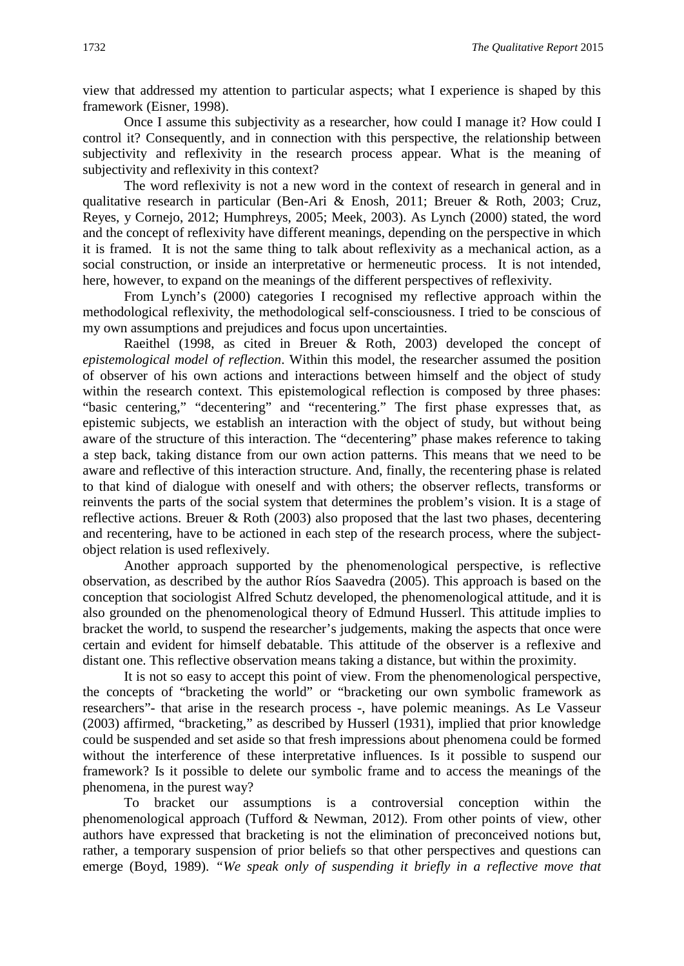view that addressed my attention to particular aspects; what I experience is shaped by this framework (Eisner, 1998).

Once I assume this subjectivity as a researcher, how could I manage it? How could I control it? Consequently, and in connection with this perspective, the relationship between subjectivity and reflexivity in the research process appear. What is the meaning of subjectivity and reflexivity in this context?

The word reflexivity is not a new word in the context of research in general and in qualitative research in particular (Ben-Ari & Enosh, 2011; Breuer & Roth, 2003; Cruz, Reyes, y Cornejo, 2012; Humphreys, 2005; Meek, 2003). As Lynch (2000) stated, the word and the concept of reflexivity have different meanings, depending on the perspective in which it is framed. It is not the same thing to talk about reflexivity as a mechanical action, as a social construction, or inside an interpretative or hermeneutic process. It is not intended, here, however, to expand on the meanings of the different perspectives of reflexivity.

From Lynch's (2000) categories I recognised my reflective approach within the methodological reflexivity, the methodological self-consciousness. I tried to be conscious of my own assumptions and prejudices and focus upon uncertainties.

Raeithel (1998, as cited in Breuer & Roth, 2003) developed the concept of *epistemological model of reflection*. Within this model, the researcher assumed the position of observer of his own actions and interactions between himself and the object of study within the research context. This epistemological reflection is composed by three phases: "basic centering," "decentering" and "recentering." The first phase expresses that, as epistemic subjects, we establish an interaction with the object of study, but without being aware of the structure of this interaction. The "decentering" phase makes reference to taking a step back, taking distance from our own action patterns. This means that we need to be aware and reflective of this interaction structure. And, finally, the recentering phase is related to that kind of dialogue with oneself and with others; the observer reflects, transforms or reinvents the parts of the social system that determines the problem's vision. It is a stage of reflective actions. Breuer & Roth (2003) also proposed that the last two phases, decentering and recentering, have to be actioned in each step of the research process, where the subjectobject relation is used reflexively.

Another approach supported by the phenomenological perspective, is reflective observation, as described by the author Ríos Saavedra (2005). This approach is based on the conception that sociologist Alfred Schutz developed, the phenomenological attitude, and it is also grounded on the phenomenological theory of Edmund Husserl. This attitude implies to bracket the world, to suspend the researcher's judgements, making the aspects that once were certain and evident for himself debatable. This attitude of the observer is a reflexive and distant one. This reflective observation means taking a distance, but within the proximity.

It is not so easy to accept this point of view. From the phenomenological perspective, the concepts of "bracketing the world" or "bracketing our own symbolic framework as researchers"- that arise in the research process -, have polemic meanings. As Le Vasseur (2003) affirmed, "bracketing," as described by Husserl (1931), implied that prior knowledge could be suspended and set aside so that fresh impressions about phenomena could be formed without the interference of these interpretative influences. Is it possible to suspend our framework? Is it possible to delete our symbolic frame and to access the meanings of the phenomena, in the purest way?

To bracket our assumptions is a controversial conception within the phenomenological approach (Tufford & Newman, 2012). From other points of view, other authors have expressed that bracketing is not the elimination of preconceived notions but, rather, a temporary suspension of prior beliefs so that other perspectives and questions can emerge (Boyd, 1989). *"We speak only of suspending it briefly in a reflective move that*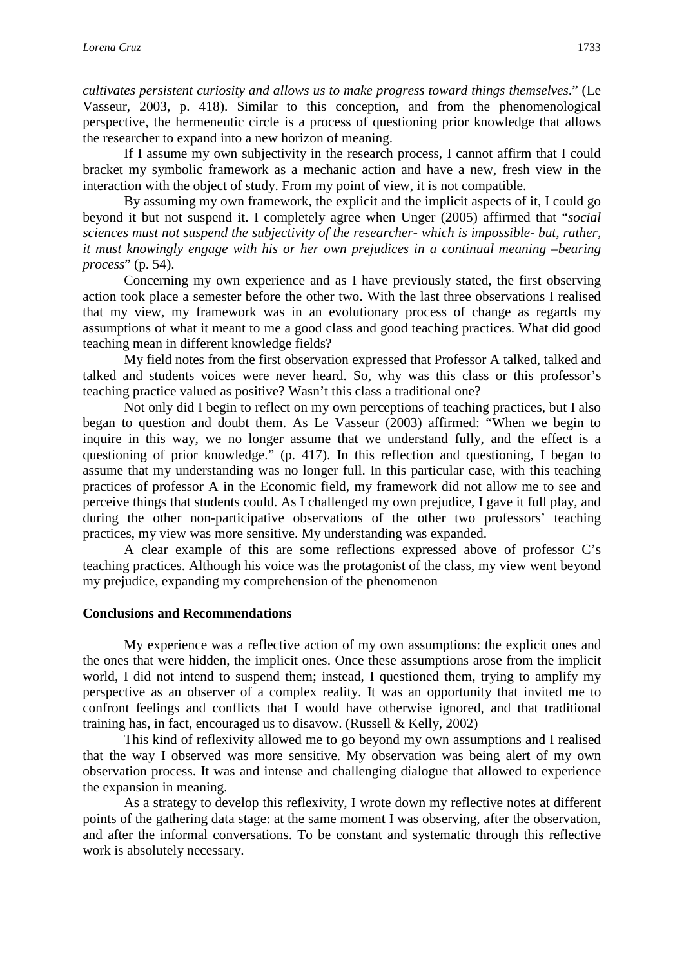*cultivates persistent curiosity and allows us to make progress toward things themselves*." (Le Vasseur, 2003, p. 418). Similar to this conception, and from the phenomenological perspective, the hermeneutic circle is a process of questioning prior knowledge that allows the researcher to expand into a new horizon of meaning.

If I assume my own subjectivity in the research process, I cannot affirm that I could bracket my symbolic framework as a mechanic action and have a new, fresh view in the interaction with the object of study. From my point of view, it is not compatible.

By assuming my own framework, the explicit and the implicit aspects of it, I could go beyond it but not suspend it. I completely agree when Unger (2005) affirmed that "*social sciences must not suspend the subjectivity of the researcher- which is impossible- but, rather, it must knowingly engage with his or her own prejudices in a continual meaning –bearing process*" (p. 54).

Concerning my own experience and as I have previously stated, the first observing action took place a semester before the other two. With the last three observations I realised that my view, my framework was in an evolutionary process of change as regards my assumptions of what it meant to me a good class and good teaching practices. What did good teaching mean in different knowledge fields?

My field notes from the first observation expressed that Professor A talked, talked and talked and students voices were never heard. So, why was this class or this professor's teaching practice valued as positive? Wasn't this class a traditional one?

Not only did I begin to reflect on my own perceptions of teaching practices, but I also began to question and doubt them. As Le Vasseur (2003) affirmed: "When we begin to inquire in this way, we no longer assume that we understand fully, and the effect is a questioning of prior knowledge." (p. 417). In this reflection and questioning, I began to assume that my understanding was no longer full. In this particular case, with this teaching practices of professor A in the Economic field, my framework did not allow me to see and perceive things that students could. As I challenged my own prejudice, I gave it full play, and during the other non-participative observations of the other two professors' teaching practices, my view was more sensitive. My understanding was expanded.

A clear example of this are some reflections expressed above of professor C's teaching practices. Although his voice was the protagonist of the class, my view went beyond my prejudice, expanding my comprehension of the phenomenon

#### **Conclusions and Recommendations**

My experience was a reflective action of my own assumptions: the explicit ones and the ones that were hidden, the implicit ones. Once these assumptions arose from the implicit world, I did not intend to suspend them; instead, I questioned them, trying to amplify my perspective as an observer of a complex reality. It was an opportunity that invited me to confront feelings and conflicts that I would have otherwise ignored, and that traditional training has, in fact, encouraged us to disavow. (Russell & Kelly, 2002)

This kind of reflexivity allowed me to go beyond my own assumptions and I realised that the way I observed was more sensitive. My observation was being alert of my own observation process. It was and intense and challenging dialogue that allowed to experience the expansion in meaning.

As a strategy to develop this reflexivity, I wrote down my reflective notes at different points of the gathering data stage: at the same moment I was observing, after the observation, and after the informal conversations. To be constant and systematic through this reflective work is absolutely necessary.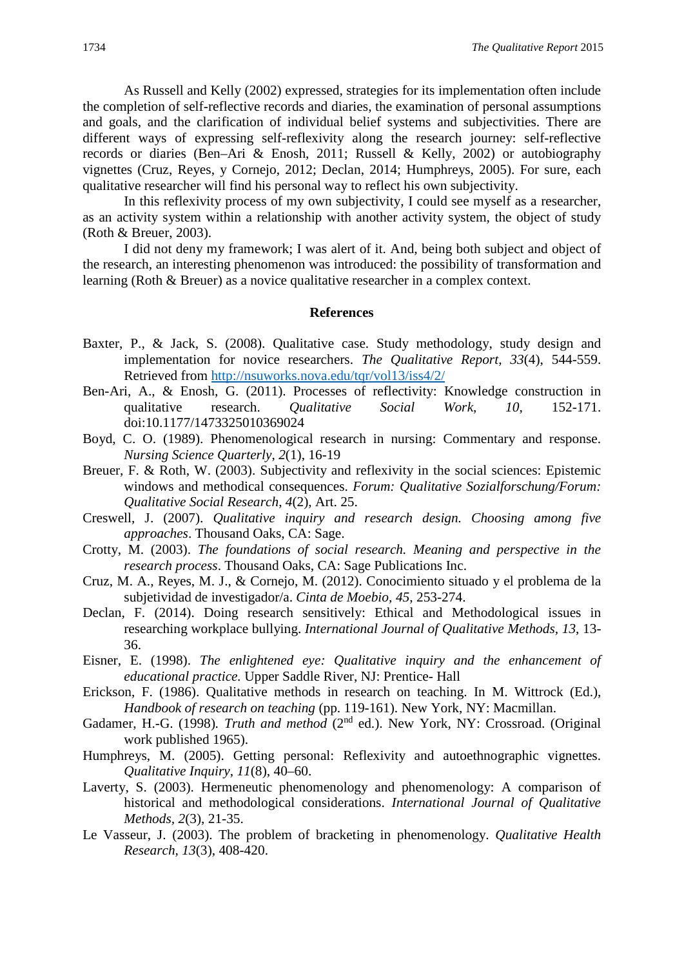As Russell and Kelly (2002) expressed, strategies for its implementation often include the completion of self-reflective records and diaries, the examination of personal assumptions and goals, and the clarification of individual belief systems and subjectivities. There are different ways of expressing self-reflexivity along the research journey: self-reflective records or diaries (Ben–Ari & Enosh, 2011; Russell & Kelly, 2002) or autobiography vignettes (Cruz, Reyes, y Cornejo, 2012; Declan, 2014; Humphreys, 2005). For sure, each qualitative researcher will find his personal way to reflect his own subjectivity.

In this reflexivity process of my own subjectivity, I could see myself as a researcher, as an activity system within a relationship with another activity system, the object of study (Roth & Breuer, 2003).

I did not deny my framework; I was alert of it. And, being both subject and object of the research, an interesting phenomenon was introduced: the possibility of transformation and learning (Roth & Breuer) as a novice qualitative researcher in a complex context.

#### **References**

- Baxter, P., & Jack, S. (2008). Qualitative case. Study methodology, study design and implementation for novice researchers. *The Qualitative Report, 33*(4), 544-559. Retrieved from<http://nsuworks.nova.edu/tqr/vol13/iss4/2/>
- Ben-Ari, A., & Enosh, G. (2011). Processes of reflectivity: Knowledge construction in qualitative research. *Qualitative Social Work*, *10*, 152-171. doi:10.1177/1473325010369024
- Boyd, C. O. (1989). Phenomenological research in nursing: Commentary and response. *Nursing Science Quarterly*, *2*(1), 16-19
- Breuer, F. & Roth, W. (2003). Subjectivity and reflexivity in the social sciences: Epistemic windows and methodical consequences. *Forum: Qualitative Sozialforschung/Forum: Qualitative Social Research*, *4*(2), Art. 25.
- Creswell, J. (2007). *Qualitative inquiry and research design. Choosing among five approaches*. Thousand Oaks, CA: Sage.
- Crotty, M. (2003). *The foundations of social research. Meaning and perspective in the research process*. Thousand Oaks, CA: Sage Publications Inc.
- Cruz, M. A., Reyes, M. J., & Cornejo, M. (2012). Conocimiento situado y el problema de la subjetividad de investigador/a. *Cinta de Moebio, 45*, 253-274.
- Declan, F. (2014). Doing research sensitively: Ethical and Methodological issues in researching workplace bullying. *International Journal of Qualitative Methods, 13*, 13- 36.
- Eisner, E. (1998). *The enlightened eye: Qualitative inquiry and the enhancement of educational practice.* Upper Saddle River, NJ: Prentice- Hall
- Erickson, F. (1986). Qualitative methods in research on teaching. In M. Wittrock (Ed.), *Handbook of research on teaching* (pp. 119-161). New York, NY: Macmillan.
- Gadamer, H.-G. (1998). Truth and method (2<sup>nd</sup> ed.). New York, NY: Crossroad. (Original work published 1965).
- Humphreys, M. (2005). Getting personal: Reflexivity and autoethnographic vignettes. *Qualitative Inquiry*, *11*(8), 40–60.
- Laverty, S. (2003). Hermeneutic phenomenology and phenomenology: A comparison of historical and methodological considerations. *International Journal of Qualitative Methods, 2*(3), 21-35.
- Le Vasseur, J. (2003). The problem of bracketing in phenomenology. *Qualitative Health Research, 13*(3), 408-420.